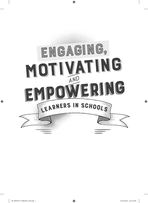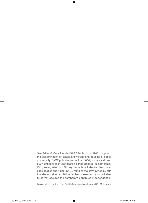Sara Miller McCune founded SAGE Publishing in 1965 to support the dissemination of usable knowledge and educate a global community. SAGE publishes more than 1000 journals and over 800 new books each year, spanning a wide range of subject areas. Our growing selection of library products includes archives, data, case studies and video. SAGE remains majority owned by our founder and after her lifetime will become owned by a charitable trust that secures the company's continued independence.

 $\bigoplus$ 

Los Angeles | London | New Delhi | Singapore | Washington DC | Melbourne

 $\bigoplus$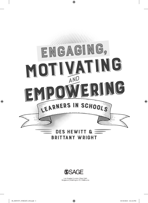



Los Angeles | London | New Delhi<br>Singapore | Washington DC | Melbourne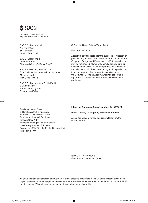

Los Angeles | London | New Delhi Singapore | Washington DC | Melbourne

SAGE Publications Ltd 1 Oliver's Yard 55 City Road London EC1Y 1SP

SAGE Publications Inc. 2455 Teller Road Thousand Oaks, California 91320

SAGE Publications India Pvt Ltd B 1/I 1 Mohan Cooperative Industrial Area Mathura Road New Delhi 110 044

SAGE Publications Asia-Pacific Pte Ltd 3 Church Street #10-04 Samsung Hub Singapore 049483

Marketing manager: Dilhara Attygalle Cover design: Naomi Robinson

Typeset by: C&M Digitals (P) Ltd, Chennai, India

Publisher: James Clark Editorial assistant: Diana Alves Production editor: Nicola Carrier Proofreader: Leigh C. Smithson

⊕

Indexer: Gary Kirby

Printed in the UK

© Des Hewitt and Brittany Wright 2019

First published 2019

Apart from any fair dealing for the purposes of research or private study, or criticism or review, as permitted under the Copyright, Designs and Patents Act, 1988, this publication may be reproduced, stored or transmitted in any form, or by any means, only with the prior permission in writing of the publishers, or in the case of reprographic reproduction, in accordance with the terms of licences issued by the Copyright Licensing Agency. Enquiries concerning reproduction outside those terms should be sent to the publishers.

#### **Library of Congress Control Number:** 2018936824

#### **British Library Cataloguing in Publication data**

A catalogue record for this book is available from the British Library

ISBN 978-1-4739-9504-8 ISBN 978-1-4739-9505-5 (pbk)

At SAGE we take sustainability seriously. Most of our products are printed in the UK using responsibly sourced papers and boards. When we print overseas we ensure sustainable papers are used as measured by the PREPS grading system. We undertake an annual audit to monitor our sustainability.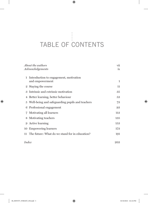# TABLE OF CONTENTS

 $\bigoplus$ 

| About the authors |                                                           | vii |
|-------------------|-----------------------------------------------------------|-----|
| Acknowledgements  |                                                           | ix  |
| 1                 | Introduction to engagement, motivation<br>and empowerment | 1   |
|                   | 2 Staying the course                                      | 11  |
| 3                 | Intrinsic and extrinsic motivation                        | 35  |
|                   | 4 Better learning, better behaviour                       | 53  |
|                   | 5 Well-being and safeguarding pupils and teachers         | 73  |
| 6                 | Professional engagement                                   | 93  |
|                   | 7 Motivating all learners                                 | 113 |
| 8                 | Motivating teachers                                       | 135 |
|                   | 9 Active learning                                         | 153 |
| 10                | <b>Empowering learners</b>                                | 173 |
|                   | 11 The future: What do we stand for in education?         | 191 |
| <i>Index</i>      |                                                           | 203 |

 $\bigoplus$ 

 $\bigoplus$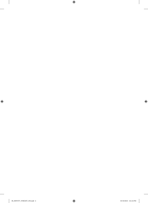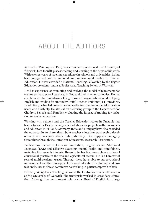# ABOUT THE AUTHORS

 $\bigoplus$ 

As Head of Primary and Early Years Teacher Education at the University of Warwick, **Des Hewitt** places teaching and learning at the heart of his work. With over 25 years of teaching experience in schools and universities, he has been recognised for his national and international profile in Teacher Education. He was awarded a National Teaching Fellowship by the Higher Education Academy and is a Professorial Teaching Fellow at Warwick.

Des has experience of promoting and evolving the model of placements for trainee primary school teachers, in England and in other countries. He has also been involved in advising UK government organisations on developing English and reading for university Initial Teacher Training (ITT) providers. In addition, he has led universities in developing practice in special education needs and disability. He also sat on a steering group in the Department for Children, Schools and Families, evaluating the impact of training for inclusion in teacher education.

Working with schools and the Teacher Education sector in Tanzania has been a focus for Des in recent years. Collaborative projects with researchers and educators in Finland, Germany, India and Hungary have also provided the opportunity to share ideas about teacher education, partnership development and research skills, internationally. Des supports emerging researchers through the European Educational Research Association.

Publications include a focus on innovation, English as an Additional Language (EAL) and Effective Learning, mental health and mindfulness, matching his research interests. Recently, he has lead research evaluation of educational practice in the arts and agricultural sectors. He is a Director of several multi-academy trusts. Through these he is able to support school improvement and the development of a good education for children and professionals. Des is always committed to working in partnership with others.

**Brittany Wright** is a Teaching Fellow at the Centre for Teacher Education at the University of Warwick. She previously worked in secondary education. Although her most recent role was as Head of English in a large

⊕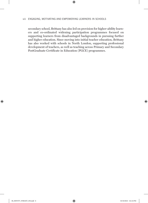secondary school, Brittany has also led on provision for higher-ability learners and co-ordinated widening participation programmes focused on supporting learners from disadvantaged backgrounds in pursuing further and higher education. Since moving into initial teacher education, Brittany has also worked with schools in North London, supporting professional development of teachers, as well as teaching across Primary and Secondary PostGraduate Certificate in Education (PGCE) programmes.

 $\bigoplus$ 

⊕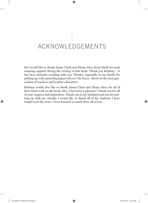# ACKNOWLEDGEMENTS

 $\bigoplus$ 

Des would like to thank James Clark and Diana Alves from SAGE for such amazing support during the writing of this book. Thank you Brittany – it has been fantastic working with you. Thanks, especially, to my family for putting up with sprawling papers all over the house. Here's to the next generation of teachers and teacher educators!

Brittany would also like to thank James Clark and Diana Alves for all of their hard work on the book. Des, it has been a pleasure! Thank you for all of your support and inspiration. Thank you to my husband and son for putting up with me. Finally, I would like to thank all of the students I have taught over the years. I have learned so much from all of you.

⊕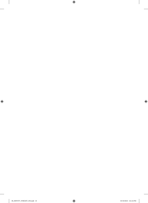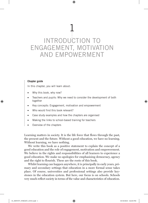# 1 INTRODUCTION TO ENGAGEMENT, MOTIVATION AND EMPOWERMENT

 $\bigoplus$ 

#### **Chapter guide**

♠

In this chapter, you will learn about:

- Why this book, why now?
- Teachers and pupils: Why we need to consider the development of both together
- Key concepts: Engagement, motivation and empowerment
- Who would find this book relevant?
- Case study examples and how the chapters are organised
- Making the links to school-based training for teachers
- Overview of the chapters

Learning matters in society. It is the life force that flows through the past, the present and the future. Without a good education, we have no learning. Without learning, we have nothing.

We write this book as a positive statement to explain the concept of a good education and the role of engagement, motivation and empowerment. We believe in the rights and responsibilities of all learners to experience a good education. We make no apologies for emphasising democracy, agency and the right to flourish. These are the roots of this book.

Whilst learning can happen anywhere, it is principally in early years, primary and secondary settings that education in a more formal sense takes place. Of course, universities and professional settings also provide keystones in the education system. But here, our focus is on schools. Schools very much reflect society in terms of the value and characteristics of education.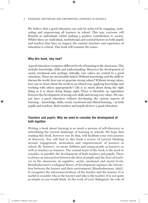We believe that a good education can only be achieved by engaging, motivating and empowering all learners in school. This way, everyone will flourish as individuals whilst making a positive contribution to society. Whilst there are individual, institutional and societal factors in both pupils and teachers that have an impact, the content structure and experience of education is critical. This book will examine the issues.

 $\textcircled{\scriptsize{*}}$ 

#### **Why this book, why now?**

A good education recognises different levels of learning in the classroom. This includes knowledge, skills and understanding. Moreover the development of social, emotional and, perhaps critically, core values are central to a good education. These are inextricably linked. Without knowledge and the skills to discuss the world, how can we generate strong values? Without strong values, how can we learn about the world in an ethical way, applying knowledge and working with others appropriately? Life is as much about doing the right thing as it is about doing things right. There is therefore no opposition between the development of strong core skills and strong core values. We cannot have a good education without developing the various aspects of learning – knowledge, skills, social, emotional and ethical learning – in both pupils and teachers. Both teachers and pupils deserve a good education.

# **Teachers and pupils: Why we need to consider the development of both together**

Writing a book about learning is as much a process of self-discovery as articulating the current landscape of learning in schools. We hope that reading this book, however you do that, will facilitate your own journey of discovery. You will find in this book a review of current thinking around 'engagement, motivation and empowerment' of learners in school. By 'learners', we mean children and young people as learners, as well as teachers as learners. The central tenet of the book is the need to consider, in parallel, the development of both teachers and pupils. There is always an interaction between the lives of pupils and the lives of teachers in the classroom, at cognitive, social, emotional and moral levels. Bronfenbrenner's ecological theory of development captures the interaction between the learner and their environment (Bronfenbrenner, 1992). It recognises the interconnectedness of the teacher and the learner. It is useful to consider who is the learner and who is the teacher. It is not quite as simple as you would think. In the work of Loris Malaguzzi, the role of

♠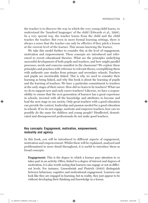the teacher is to discover the way in which the very young child learns, to understand the 'hundred languages' of the child (Edwards et al., 1998). In a very special way, the teacher learns from the child and the child teaches the teacher. But even in more formal learning settings, there is always a sense that the teacher can only be effective if they pitch a lesson at the current level of the learner. This means knowing the learner.

⊕

We take this model further to consider this at the level of engagement, motivation and empowerment. These concepts are introduced and referenced to recent educational theories. What are the principles underlying successful development of both pupils and teachers, and how might parallel processes, needs and concerns manifest in the classroom? We explore these principles and practices with reference to relevant theory, exemplifying them with authentic case studies from primary and secondary schools. Teachers and pupils are inextricably linked. This is why we need to consider their learning as being linked, and why this book is about the learning of pupils and the learning of teachers. We have a particular commitment to teachers at the early stages of their career. How did we learn to be teachers? What can we do to support new and early career teachers? Likewise, we have a responsibility to ensure that the next generation of learners has a great experience in schools, invested with all the knowledge and attributes to become and lead the next stage in our society. Only great teachers with a good education can provide the context, leadership and passion needed for a good education in schools. If we do not engage, motivate and empower teachers, how can we possibly do the same for children and young people? Disaffected, demotivated and disempowered professionals do not make good teachers.

# **Key concepts: Engagement, motivation, empowerment, mutuality and agency**

In this book, you will be introduced to different aspects of engagement, motivation and empowerment. Whilst these will be explained, analysed and problematised in more detail throughout, it is useful to introduce them as broad concepts:

**Engagement:** This is the degree to which a learner pays attention to or takes part in an activity. Often, linked to a degree of interest and degrees of motivation, it is also worth noting that learners can engage or not at different levels. For instance, Linnenbrink and Pintrich (2003) distinguish between behaviour, cognitive and motivational engagement. Learners can look like they are engaged in learning, but in reality, they just appear to be without developing their thinking and knowledge in a lesson.

♠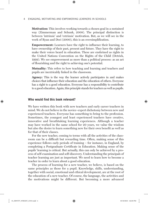**Motivation:** This involves working towards a chosen goal in a sustained way (Zimmerman and Schunk, 2008). The principal distinction is between 'intrinsic' and 'extrinsic' motivation. But, as we will see in the work of Ryan and Deci (2000), this is an oversimplification.

 $\textcircled{\scriptsize{*}}$ 

**Empowerment:** Learners have the right to influence their learning, to have ownership of their past, present and future. They have the right to make their voices heard in education. These are enshrined as rights in the United Nations Convention on the Rights of the Child (Detrick, 1999). We see empowerment as more than a political process: as an act of flourishing and the right to achieving one's potential.

**Mutuality:** This refers to how teaching and learning and teachers and pupils are inextricably linked in the classroom.

**Agency:** This is the way the learner actively participates in and makes choices that influence their education and the education of others. Everyone has a right to a good education. Everyone has a responsibility to contribute to a good education. Again, this principle stands for teachers as well as pupils.

## **Who would find this book relevant?**

We have written this book with new teachers and early career teachers in mind. We do not believe in the novice–expert dichotomy between new and experienced teachers. Everyone has something to bring to the profession. Sometimes, the youngest and least experienced teachers have creative, innovative and breathtaking learning experiences. Although a teacher may have worked in the same school for 20 years, we value the wisdom but also the desire to learn something new for their own benefit as well as for that of their classes.

For the new teacher, coming to terms with all the activities of the classroom can be a difficult but rewarding time. Often, making sense of this experience follows early periods of training – for instance, in England, by completing a Postgraduate Certificate in Education. Making sense of the pupils' learning is critical. But actually, this can only be achieved by a process of self-examination and self-discovery. Understanding the principals of teacher learning are just as important. We need to learn how to become a teacher in order to learn about a good education.

The process of learning for a new teacher, we believe, is based on the same principles as those for a pupil. Knowledge, skills, understanding, together with social, emotional and ethical development, are at the root of the education of a new teacher. Of course, the language, the activities and the motivations might be different. But becoming a more advanced

01\_HEWITT\_WRIGHT\_CH 01.indd 4 03/10/2018 3:42:03 PM

⊕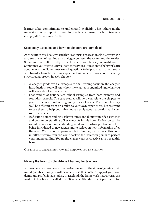learner takes commitment to understand explicitly what others might understand only implicitly. Learning really is a journey for both teachers and pupils at so many levels.

 $\textcircled{\scriptsize{*}}$ 

# **Case study examples and how the chapters are organised**

At the start of this book, we said that reading is a process of self-discovery. We also see the act of reading as a dialogue between the writer and the reader. Sometimes we talk directly to each other. Sometimes you might agree. Sometimes you might disagree. Sometimes we ask questions to help you learn about education. Sometimes we ask questions to help you learn about yourself. In order to make learning explicit in this book, we have adopted a fairly structured approach in each chapter:

- A chapter guide with a synopsis of the learning focus in the chapter introduction: you will know how the chapter is organised and what you will learn about in the chapter.
- Case studies of fictionalised school examples from both primary and secondary schools. The case studies will help you relate the chapter to your own educational setting and you as a learner. The examples may well be different from or similar to your own experiences, but we want to use them to help you think more deeply about education and your role as a teacher.
- Reflection points explicitly ask you questions about yourself as a teacher and your understanding of key concepts in this book. Reflection can be useful in two ways: understanding what your starting position is before being introduced to new areas; and to reflect on new information after the event. We use both approaches, but of course, you can read this book in different ways. You can come back to the reflection points to perfect your understanding. You might change your perspective as you read this book.

Our aim is to engage, motivate and empower you as a learner.

## **Making the links to school-based training for teachers**

For teachers who are new to the profession and at the stage of gaining their initial qualifications, you will be able to use this book to support your academic and professional studies. In England, the framework that governs the work of teachers is called the Teachers' Standards (Department for

01\_HEWITT\_WRIGHT\_CH 01.indd 5 03/10/2018 3:42:03 PM

♠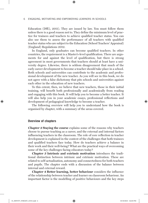Education (DfE), 2011). They are issued by law. You must follow them unless there is a good reason not to. They define the minimum level of practice for trainees and teachers to achieve qualified teacher status. You can also use them to assess the performance of all teachers with qualified teacher status who are subject to the Education (School Teachers' Appraisal) (England) Regulations 2012.

⊕

In England, only graduates can become qualified teachers. In other countries, the requirement is a Master's-level qualification. There are arguments for and against the level of qualification, but there is strong agreement in most governments that teachers should at least have a university degree. Likewise, there is seldom disagreement that much of the early career development to become a teacher should take place in a school. Both schools and universities can contribute to the academic and professional development of the new teacher. As you will see in this book, we do not agree with a false dichotomy that pits schools and universities against each other in the education of new teachers.

To this extent, then, we believe that new teachers, those in their initial training, will benefit both professionally and academically from reading and engaging with this book. It will help you to become a better teacher. It will also help you in your academic essays, professional reflections and development of pedagogical knowledge to become a teacher.

The following overview will help you to understand how the book is organised by chapter, with a summary of the areas covered.

# **Overview of chapters**

**Chapter 2 Staying the course** explains some of the reasons why teachers choose to pursue teaching as a career, and the external and internal factors influencing teachers in the classroom. The role of core reflection in teacher development is explained in the context of the challenges that both trainees and qualified teachers face today. How do teachers achieve a balance in their work and their well-being? What are the practical ways of overcoming some of the key challenges facing educators today?

**Chapter 3 Intrinsic and extrinsic motivation** introduces the traditional distinction between intrinsic and extrinsic motivation. These are related to self-actualisation, autonomy and connectedness for both teachers and pupils. The chapter ends with a discussion of the balance between internal and external reward.

**Chapter 4 Better learning, better behaviour** considers the influence of the relationship between teacher and learner on classroom behaviour. An important factor is the modelling of positive behaviours and the key steps

01\_HEWITT\_WRIGHT\_CH 01.indd 6 03/10/2018 3:42:03 PM

♠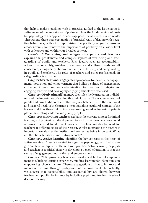#### INTRODUCTION 7

that help to make modelling work in practice. Linked to the last chapter is a discussion of the importance of praise and how the fundamentals of positive psychology can be applied to encourage positive classroom environments. Throughout, there is an explanation of practical ways of dealing with negative behaviours, without compromising the positivity of your classroom ethos. Overall, we reinforce the importance of positivity on a wider level with colleagues and within your broader context.

⊕

**Chapter 5 Well-being and safeguarding pupils and teachers** explains the problematic and complex aspects of well-being and safeguarding of pupils and teachers. Risk factors such as accountability without responsibility, isolation, basic needs and cultural needs are all considered, alongside protective factors for well-being and safeguarding in pupils and teachers. The roles of teachers and other professionals in safeguarding is explained.

**Chapter 6 Professional engagement** proposes a framework for engagement, motivation and empowerment that builds a culture of engagement, challenge, interest and self-determination for teachers. Strategies for engaging teachers and developing engaging schools are discussed.

**Chapter 7 Motivating all learners** identifies the learner as an individual and the importance of valuing this individuality. The academic needs of pupils and how to differentiate effectively are balanced with the emotional and pastoral needs of the learner. The potential sociocultural contexts of the learner and how these link to inclusion are suggested as important principles in motivating children and young people.

**Chapter 8 Motivating teachers** explains the current context for initial training and professional development for early career teachers. We should recognise the need for different models of professional development for teachers at different stages of their career. Whilst motivating the teacher is important, we also see the institutional context as being important. What are the characteristics of motivating schools?

**Chapter 9 Active learning** identifies the key concepts at the heart of active learning. These are related to cognitive psychology, with key strategies and how to implement them in your practice. Active learning for pupils and teachers is a critical factor in developing a good education. It is at the centre of engagement, motivation and empowerment.

**Chapter 10 Empowering learners** provides a definition of empowerment as a lifelong learning experience, building learning for life in pupils in empowering school structures. There are suggestions on how to improve and maintain learning through pedagogies of empowerment. Importantly, we suggest that responsibility and accountability are shared between teachers and pupils, for instance by including pupils and teachers in school decision-making.

♠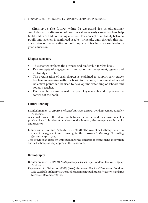**Chapter 11 The future: What do we stand for in education?** concludes with a discussion of how our values as early career teachers help build resilience and flourishing in school. The concept of mutuality between pupils and teachers is reinforced as a key principle. Only through this balanced view of the education of both pupils and teachers can we develop a good education.

⊕

### **Chapter summary**

- This chapter explains the purpose and readership for this book.
- Key concepts of engagement, motivation, empowerment, agency and mutuality are defined.
- The organisation of each chapter is explained to support early career teachers in engaging with this book: for instance, how case studies and reflection points can be used to develop understanding of schools and you as a teacher.
- Each chapter is summarised to explain key concepts and to preview the content of the book.

#### **Further reading**

⊕

Bronfenbrenner, U. (1992) *Ecological Systems Theory*. London: Jessica Kingsley Publishers.

A seminal theory of the interaction between the learner and their environment is provided here. It is relevant here because this is exactly the same process for pupils and teachers.

Linnenbrink, E.A. and Pintrich, P.R. (2003) 'The role of self-efficacy beliefs in student engagement and learning in the classroom', *Reading & Writing Quarterly*, 19: 119–37.

This provides an excellent introduction to the concepts of engagement, motivation and self-efficacy as they appear in the classroom.

# **Bibliography**

Bronfenbrenner, U. (1992) *Ecological Systems Theory*. London: Jessica Kingsley Publishers.

Department for Education (DfE) (2011) *Guidance: Teachers' Standards*. London: DfE. Available at: http://www.gov.uk/government/publications/teachers-standards (accessed December 2017).

01\_HEWITT\_WRIGHT\_CH 01.indd 8 03/10/2018 3:42:03 PM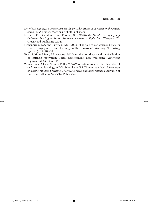#### INTRODUCTION 9

Detrick, S. (1999) *A Commentary on the United Nations Convention on the Rights of the Child*. Leiden: Martinus Nijhoff Publishers.

 $\bigoplus$ 

- Edwards, C.P., Gandini, L. and Forman, G.E. (1998) *The Hundred Languages of Children: The Reggio Emilia Approach – Advanced Reflections*. Westport, CT: Greenwood Publishing Group.
- Linnenbrink, E.A. and Pintrich, P.R. (2003) 'The role of self-efficacy beliefs in student engagement and learning in the classroom', *Reading & Writing Quarterly*, 19: 119–37.
- Ryan, R.M. and Deci, E.L. (2000) 'Self-determination theory and the facilitation of intrinsic motivation, social development, and well-being', *American Psychologist*, 55 (1): 68–78.
- Zimmerman, B.J. and Schunk, D.H. (2008) 'Motivation: An essential dimension of self-regulated learning', in D.H. Schunk and B.J. Zimmerman (eds), *Motivation and Self-Regulated Learning: Theory, Research, and Applications*. Mahwah, NJ: Lawrence Erlbaum Associates Publishers.

⊕